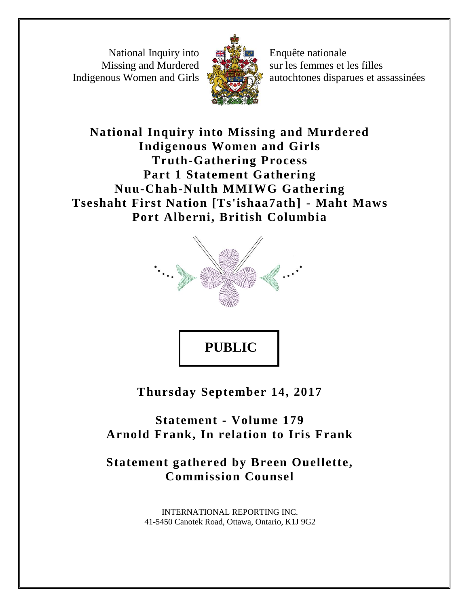National Inquiry into Missing and Murdered Indigenous Women and Girls



Enquête nationale sur les femmes et les filles autochtones disparues et assassinées

# **National Inquiry into Missing and Murdered Indigenous Women and Girls Truth-Gathering Process Part 1 Statement Gathering Nuu-Chah-Nulth MMIWG Gathering Tseshaht First Nation [Ts'ishaa7ath] - Maht Maws Port Alberni, British Columbia**



**Thursday September 14, 2017**

**Statement - Volume 179 Arnold Frank, In relation to Iris Frank**

**Statement gathered by Breen Ouellette, Commission Counsel**

> INTERNATIONAL REPORTING INC. 41-5450 Canotek Road, Ottawa, Ontario, K1J 9G2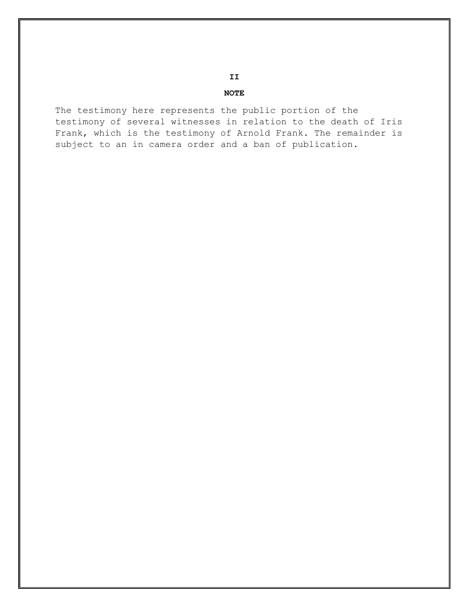# **II**

## **NOTE**

The testimony here represents the public portion of the testimony of several witnesses in relation to the death of Iris Frank, which is the testimony of Arnold Frank. The remainder is subject to an in camera order and a ban of publication.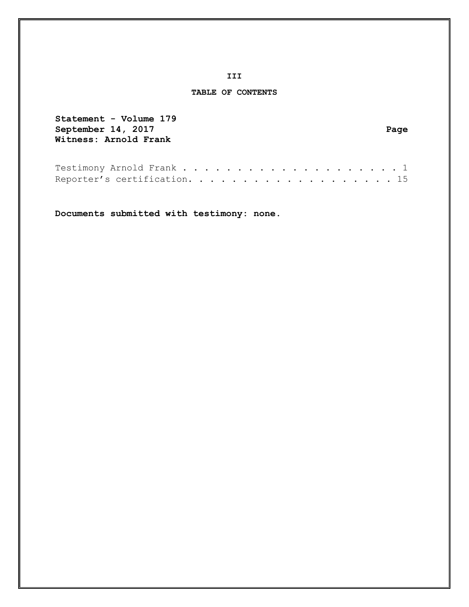### **III**

# **TABLE OF CONTENTS**

| Statement - Volume 179       |      |
|------------------------------|------|
| September 14, 2017           | Page |
| Witness: Arnold Frank        |      |
|                              |      |
|                              |      |
| Testimony Arnold Frank 1     |      |
| Reporter's certification. 15 |      |

**Documents submitted with testimony: none.**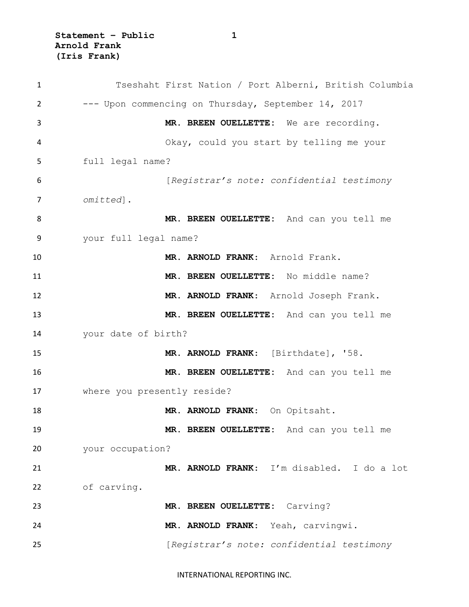| $\mathbf{1}$   | Tseshaht First Nation / Port Alberni, British Columbia |
|----------------|--------------------------------------------------------|
| $\overline{2}$ | --- Upon commencing on Thursday, September 14, 2017    |
| 3              | MR. BREEN OUELLETTE: We are recording.                 |
| 4              | Okay, could you start by telling me your               |
| 5              | full legal name?                                       |
| 6              | [Registrar's note: confidential testimony              |
| $\overline{7}$ | omitted].                                              |
| 8              | MR. BREEN OUELLETTE: And can you tell me               |
| 9              | your full legal name?                                  |
| 10             | MR. ARNOLD FRANK: Arnold Frank.                        |
| 11             | MR. BREEN OUELLETTE: No middle name?                   |
| 12             | MR. ARNOLD FRANK: Arnold Joseph Frank.                 |
| 13             | MR. BREEN OUELLETTE: And can you tell me               |
| 14             | your date of birth?                                    |
| 15             | MR. ARNOLD FRANK: [Birthdate], '58.                    |
| 16             | MR. BREEN OUELLETTE: And can you tell me               |
| 17             | where you presently reside?                            |
| 18             | MR. ARNOLD FRANK: On Opitsaht.                         |
| 19             | MR. BREEN OUELLETTE: And can you tell me               |
| 20             | your occupation?                                       |
| 21             | MR. ARNOLD FRANK: I'm disabled. I do a lot             |
| 22             | of carving.                                            |
| 23             | MR. BREEN OUELLETTE: Carving?                          |
| 24             | MR. ARNOLD FRANK: Yeah, carvingwi.                     |
| 25             | [Registrar's note: confidential testimony              |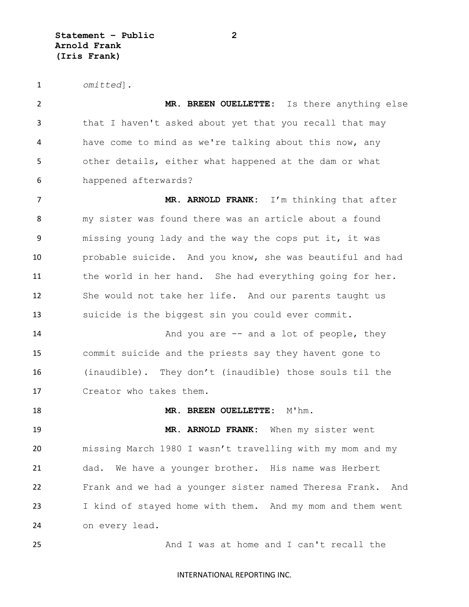*omitted*].

 **MR. BREEN OUELLETTE:** Is there anything else that I haven't asked about yet that you recall that may have come to mind as we're talking about this now, any other details, either what happened at the dam or what happened afterwards?

 **MR. ARNOLD FRANK:** I'm thinking that after my sister was found there was an article about a found missing young lady and the way the cops put it, it was probable suicide. And you know, she was beautiful and had the world in her hand. She had everything going for her. She would not take her life. And our parents taught us suicide is the biggest sin you could ever commit.

**And you are -- and a lot of people, they**  commit suicide and the priests say they havent gone to (inaudible). They don't (inaudible) those souls til the Creator who takes them.

**MR. BREEN OUELLETTE:** M'hm.

 **MR. ARNOLD FRANK:** When my sister went missing March 1980 I wasn't travelling with my mom and my dad. We have a younger brother. His name was Herbert Frank and we had a younger sister named Theresa Frank. And I kind of stayed home with them. And my mom and them went on every lead.

And I was at home and I can't recall the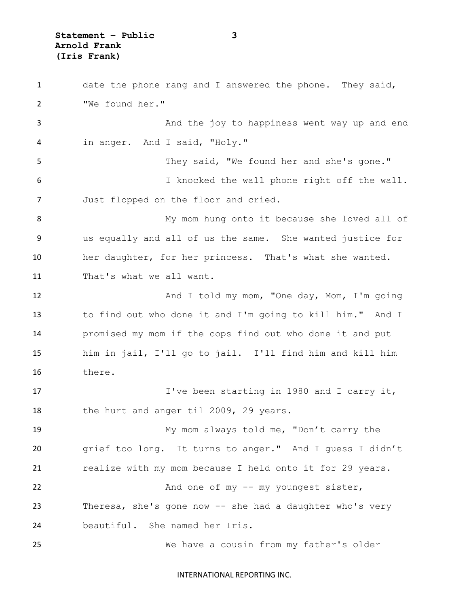**Statement – Public 3 Arnold Frank (Iris Frank)**

 date the phone rang and I answered the phone. They said, "We found her." And the joy to happiness went way up and end in anger. And I said, "Holy." They said, "We found her and she's gone." I knocked the wall phone right off the wall. Just flopped on the floor and cried. My mom hung onto it because she loved all of us equally and all of us the same. She wanted justice for her daughter, for her princess. That's what she wanted. That's what we all want. 12 And I told my mom, "One day, Mom, I'm going to find out who done it and I'm going to kill him." And I promised my mom if the cops find out who done it and put him in jail, I'll go to jail. I'll find him and kill him there. 17 I've been starting in 1980 and I carry it, 18 the hurt and anger til 2009, 29 years. My mom always told me, "Don't carry the grief too long. It turns to anger." And I guess I didn't realize with my mom because I held onto it for 29 years. 22 And one of my -- my youngest sister, Theresa, she's gone now -- she had a daughter who's very beautiful. She named her Iris. We have a cousin from my father's older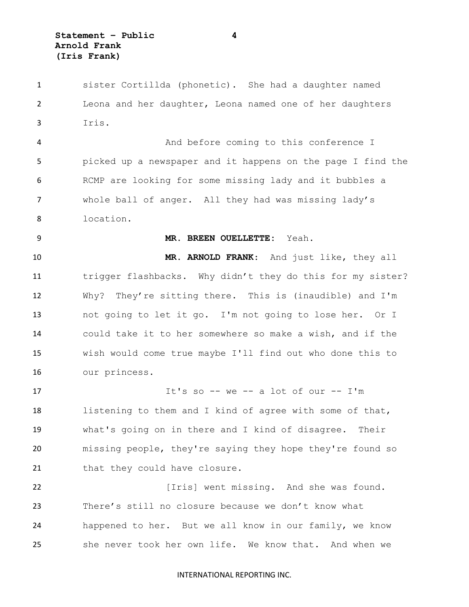sister Cortillda (phonetic). She had a daughter named Leona and her daughter, Leona named one of her daughters Iris. And before coming to this conference I picked up a newspaper and it happens on the page I find the RCMP are looking for some missing lady and it bubbles a whole ball of anger. All they had was missing lady's location. **MR. BREEN OUELLETTE:** Yeah. **MR. ARNOLD FRANK**: And just like, they all trigger flashbacks. Why didn't they do this for my sister? Why? They're sitting there. This is (inaudible) and I'm not going to let it go. I'm not going to lose her. Or I could take it to her somewhere so make a wish, and if the wish would come true maybe I'll find out who done this to our princess. It's so -- we -- a lot of our -- I'm listening to them and I kind of agree with some of that, what's going on in there and I kind of disagree. Their missing people, they're saying they hope they're found so 21 that they could have closure. [Iris] went missing. And she was found. There's still no closure because we don't know what happened to her. But we all know in our family, we know she never took her own life. We know that. And when we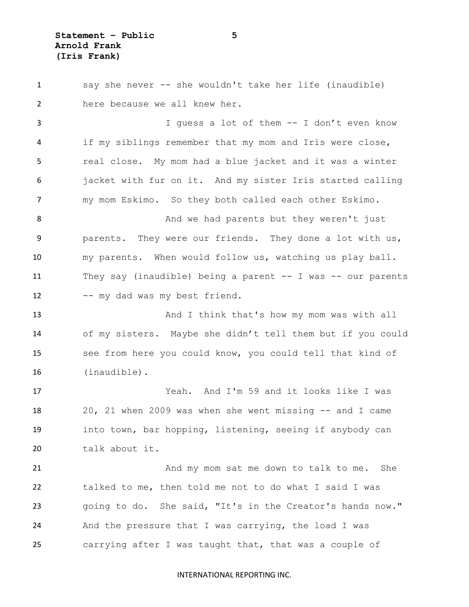say she never -- she wouldn't take her life (inaudible) here because we all knew her. I guess a lot of them -- I don't even know if my siblings remember that my mom and Iris were close, real close. My mom had a blue jacket and it was a winter jacket with fur on it. And my sister Iris started calling my mom Eskimo. So they both called each other Eskimo. 8 And we had parents but they weren't just parents. They were our friends. They done a lot with us, my parents. When would follow us, watching us play ball. They say (inaudible) being a parent -- I was -- our parents 12 -- my dad was my best friend. 13 And I think that's how my mom was with all of my sisters. Maybe she didn't tell them but if you could see from here you could know, you could tell that kind of (inaudible). Yeah. And I'm 59 and it looks like I was 20, 21 when 2009 was when she went missing -- and I came into town, bar hopping, listening, seeing if anybody can talk about it. 21 And my mom sat me down to talk to me. She talked to me, then told me not to do what I said I was going to do. She said, "It's in the Creator's hands now." And the pressure that I was carrying, the load I was carrying after I was taught that, that was a couple of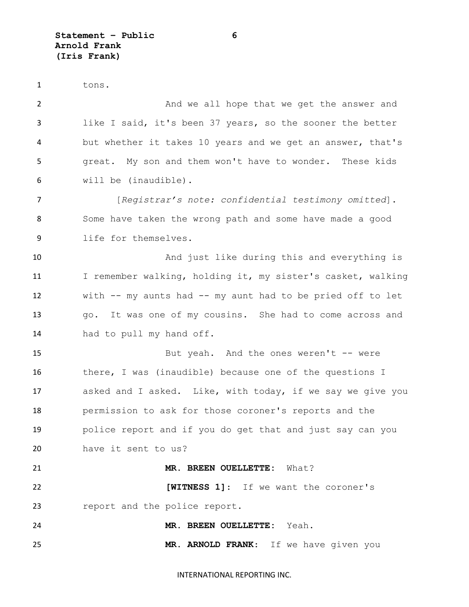tons. **And we all hope that we get the answer and**  like I said, it's been 37 years, so the sooner the better but whether it takes 10 years and we get an answer, that's great. My son and them won't have to wonder. These kids will be (inaudible). [*Registrar's note: confidential testimony omitted*]. Some have taken the wrong path and some have made a good life for themselves. And just like during this and everything is I remember walking, holding it, my sister's casket, walking with -- my aunts had -- my aunt had to be pried off to let go. It was one of my cousins. She had to come across and had to pull my hand off. But yeah. And the ones weren't -- were there, I was (inaudible) because one of the questions I asked and I asked. Like, with today, if we say we give you permission to ask for those coroner's reports and the police report and if you do get that and just say can you have it sent to us? **MR. BREEN OUELLETTE:** What? **[WITNESS 1]**: If we want the coroner's report and the police report. **MR. BREEN OUELLETTE:** Yeah. **MR. ARNOLD FRANK**: If we have given you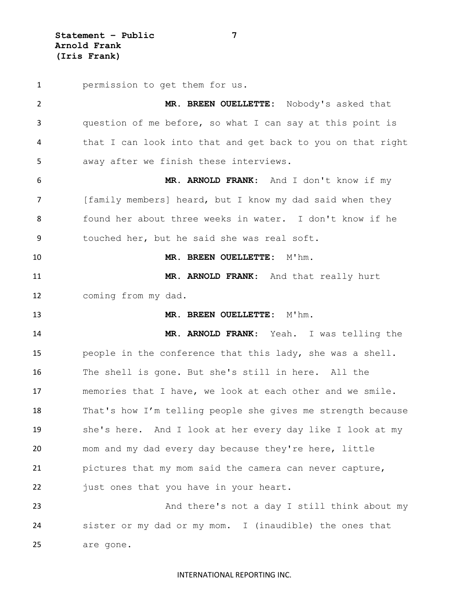**Statement – Public 7 Arnold Frank (Iris Frank)**

 permission to get them for us. **MR. BREEN OUELLETTE:** Nobody's asked that question of me before, so what I can say at this point is that I can look into that and get back to you on that right away after we finish these interviews. **MR. ARNOLD FRANK**: And I don't know if my [family members] heard, but I know my dad said when they found her about three weeks in water. I don't know if he touched her, but he said she was real soft. **MR. BREEN OUELLETTE:** M'hm. **MR. ARNOLD FRANK**: And that really hurt coming from my dad. **MR. BREEN OUELLETTE:** M'hm. **MR. ARNOLD FRANK**: Yeah. I was telling the people in the conference that this lady, she was a shell. The shell is gone. But she's still in here. All the memories that I have, we look at each other and we smile. That's how I'm telling people she gives me strength because she's here. And I look at her every day like I look at my mom and my dad every day because they're here, little pictures that my mom said the camera can never capture, 22 just ones that you have in your heart. 23 And there's not a day I still think about my sister or my dad or my mom. I (inaudible) the ones that are gone.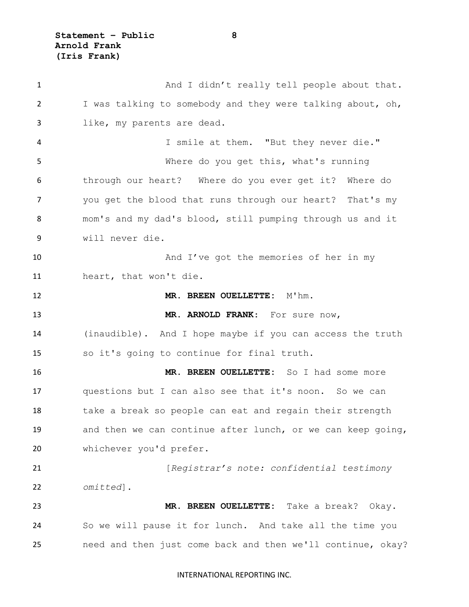**Statement – Public 8 Arnold Frank (Iris Frank)**

1 And I didn't really tell people about that. I was talking to somebody and they were talking about, oh, like, my parents are dead. I smile at them. "But they never die." Where do you get this, what's running through our heart? Where do you ever get it? Where do you get the blood that runs through our heart? That's my mom's and my dad's blood, still pumping through us and it will never die. 10 And I've got the memories of her in my heart, that won't die. **MR. BREEN OUELLETTE:** M'hm. **MR. ARNOLD FRANK**: For sure now, (inaudible). And I hope maybe if you can access the truth so it's going to continue for final truth. **MR. BREEN OUELLETTE:** So I had some more questions but I can also see that it's noon. So we can take a break so people can eat and regain their strength and then we can continue after lunch, or we can keep going, whichever you'd prefer. [*Registrar's note: confidential testimony omitted*]. **MR. BREEN OUELLETTE:** Take a break? Okay. So we will pause it for lunch. And take all the time you need and then just come back and then we'll continue, okay?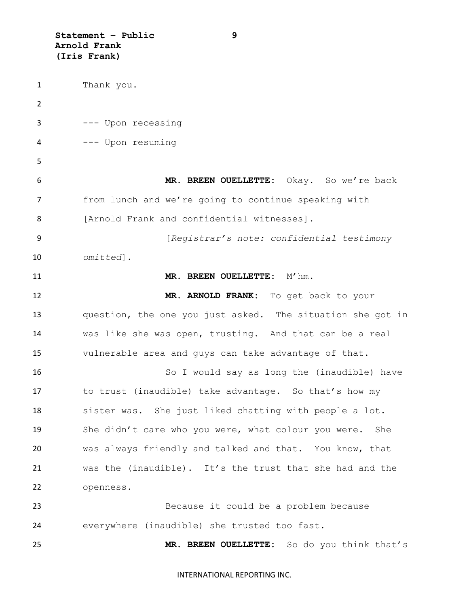**Statement – Public 9 Arnold Frank (Iris Frank)**

 Thank you.  $\mathfrak{D}$  --- Upon recessing --- Upon resuming **MR. BREEN OUELLETTE:** Okay. So we're back from lunch and we're going to continue speaking with 8 [Arnold Frank and confidential witnesses]. [*Registrar's note: confidential testimony omitted*]. **MR. BREEN OUELLETTE:** M'hm. **MR. ARNOLD FRANK:** To get back to your question, the one you just asked. The situation she got in was like she was open, trusting. And that can be a real vulnerable area and guys can take advantage of that. So I would say as long the (inaudible) have to trust (inaudible) take advantage. So that's how my sister was. She just liked chatting with people a lot. She didn't care who you were, what colour you were. She was always friendly and talked and that. You know, that was the (inaudible). It's the trust that she had and the openness. Because it could be a problem because everywhere (inaudible) she trusted too fast. **MR. BREEN OUELLETTE:** So do you think that's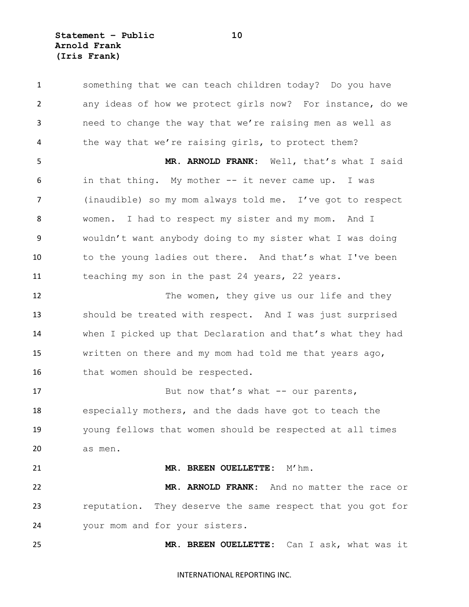**Statement – Public 10 Arnold Frank (Iris Frank)**

 something that we can teach children today? Do you have any ideas of how we protect girls now? For instance, do we need to change the way that we're raising men as well as the way that we're raising girls, to protect them? **MR. ARNOLD FRANK:** Well, that's what I said in that thing. My mother -- it never came up. I was (inaudible) so my mom always told me. I've got to respect women. I had to respect my sister and my mom. And I wouldn't want anybody doing to my sister what I was doing 10 to the young ladies out there. And that's what I've been teaching my son in the past 24 years, 22 years. 12 The women, they give us our life and they should be treated with respect. And I was just surprised when I picked up that Declaration and that's what they had written on there and my mom had told me that years ago, 16 that women should be respected. 17 But now that's what -- our parents, especially mothers, and the dads have got to teach the young fellows that women should be respected at all times as men. **MR. BREEN OUELLETTE:** M'hm. **MR. ARNOLD FRANK:** And no matter the race or reputation. They deserve the same respect that you got for your mom and for your sisters. **MR. BREEN OUELLETTE:** Can I ask, what was it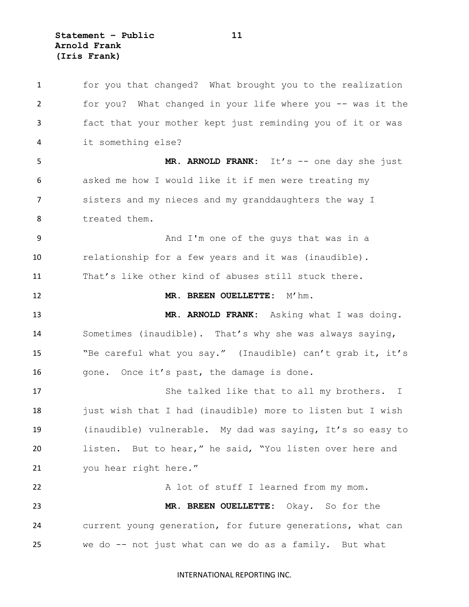**Statement – Public 11 Arnold Frank (Iris Frank)**

 for you that changed? What brought you to the realization for you? What changed in your life where you -- was it the fact that your mother kept just reminding you of it or was it something else? **MR. ARNOLD FRANK:** It's -- one day she just asked me how I would like it if men were treating my sisters and my nieces and my granddaughters the way I treated them. And I'm one of the guys that was in a relationship for a few years and it was (inaudible). That's like other kind of abuses still stuck there. **MR. BREEN OUELLETTE:** M'hm. **MR. ARNOLD FRANK:** Asking what I was doing. Sometimes (inaudible). That's why she was always saying, "Be careful what you say." (Inaudible) can't grab it, it's 16 gone. Once it's past, the damage is done. 17 She talked like that to all my brothers. I 18 just wish that I had (inaudible) more to listen but I wish (inaudible) vulnerable. My dad was saying, It's so easy to listen. But to hear," he said, "You listen over here and you hear right here." A lot of stuff I learned from my mom. **MR. BREEN OUELLETTE:** Okay. So for the current young generation, for future generations, what can we do -- not just what can we do as a family. But what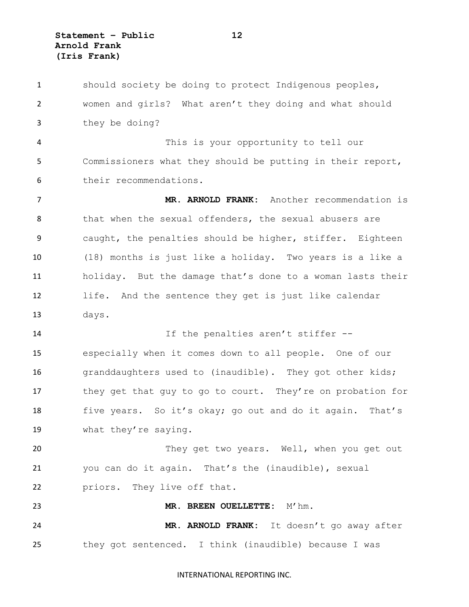**Statement – Public 12 Arnold Frank (Iris Frank)**

 should society be doing to protect Indigenous peoples, women and girls? What aren't they doing and what should they be doing? This is your opportunity to tell our Commissioners what they should be putting in their report, their recommendations. **MR. ARNOLD FRANK:** Another recommendation is 8 that when the sexual offenders, the sexual abusers are caught, the penalties should be higher, stiffer. Eighteen (18) months is just like a holiday. Two years is a like a holiday. But the damage that's done to a woman lasts their life. And the sentence they get is just like calendar days. If the penalties aren't stiffer -- especially when it comes down to all people. One of our granddaughters used to (inaudible). They got other kids; 17 they get that guy to go to court. They're on probation for five years. So it's okay; go out and do it again. That's what they're saying. 20 They get two years. Well, when you get out you can do it again. That's the (inaudible), sexual priors. They live off that. **MR. BREEN OUELLETTE:** M'hm. **MR. ARNOLD FRANK:** It doesn't go away after they got sentenced. I think (inaudible) because I was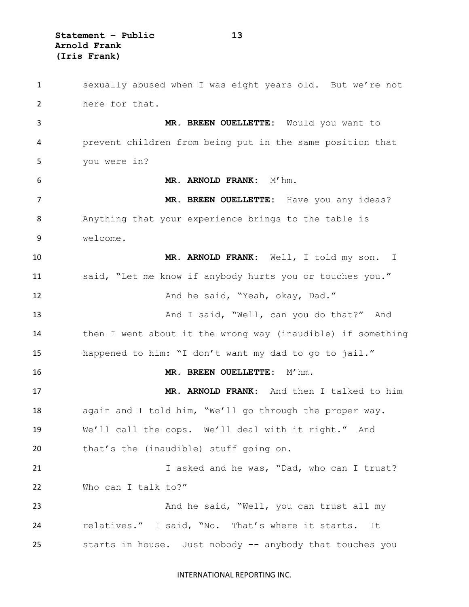**Statement – Public 13 Arnold Frank (Iris Frank)**

 sexually abused when I was eight years old. But we're not here for that. **MR. BREEN OUELLETTE:** Would you want to prevent children from being put in the same position that you were in? **MR. ARNOLD FRANK:** M'hm. **MR. BREEN OUELLETTE:** Have you any ideas? Anything that your experience brings to the table is welcome. **MR. ARNOLD FRANK:** Well, I told my son. I said, "Let me know if anybody hurts you or touches you." 12 And he said, "Yeah, okay, Dad." 13 And I said, "Well, can you do that?" And then I went about it the wrong way (inaudible) if something happened to him: "I don't want my dad to go to jail." **MR. BREEN OUELLETTE:** M'hm. **MR. ARNOLD FRANK:** And then I talked to him again and I told him, "We'll go through the proper way. We'll call the cops. We'll deal with it right." And that's the (inaudible) stuff going on. 21 I asked and he was, "Dad, who can I trust? 22 Who can I talk to?" 23 And he said, "Well, you can trust all my relatives." I said, "No. That's where it starts. It starts in house. Just nobody -- anybody that touches you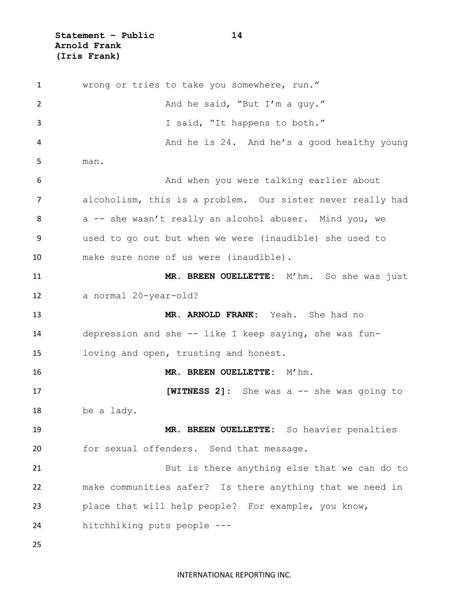**Statement – Public 14 Arnold Frank (Iris Frank)**

 wrong or tries to take you somewhere, run." 2 And he said, "But I'm a guy." I said, "It happens to both." And he is 24. And he's a good healthy young man. And when you were talking earlier about alcoholism, this is a problem. Our sister never really had 8 a -- she wasn't really an alcohol abuser. Mind you, we used to go out but when we were (inaudible) she used to make sure none of us were (inaudible). **MR. BREEN OUELLETTE:** M'hm. So she was just a normal 20-year-old? **MR. ARNOLD FRANK:** Yeah. She had no depression and she -- like I keep saying, she was fun- loving and open, trusting and honest. **MR. BREEN OUELLETTE:** M'hm. **[WITNESS 2]:** She was a -- she was going to be a lady. **MR. BREEN OUELLETTE:** So heavier penalties for sexual offenders. Send that message. But is there anything else that we can do to make communities safer? Is there anything that we need in place that will help people? For example, you know, hitchhiking puts people ---